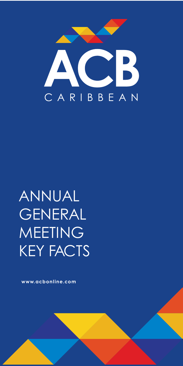www.acbonline.com



# ANNUAL GENERAL MEETING KEY FACTS

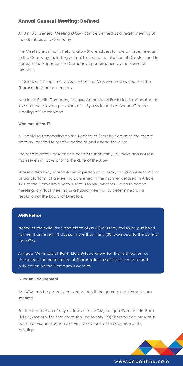# www.acbonline.com

# Annual General Meeting: Defined

An Annual General Meeting (AGM) can be defined as a yearly meeting of the Members of a Company.

The Meeting is primarily held to allow Shareholders to vote on issues relevant to the Company, including but not limited to the election of Directors and to consider the Report on the Company's performance by the Board of Directors.

In essence, it is the time of year, when the Directors must account to the Shareholders for their actions.

As a local Public Company, Antigua Commercial Bank Ltd., is mandated by law and the relevant provisions of its Bylaws to host an Annual General Meeting of Shareholders.

## Who can Attend?

All individuals appearing on the Register of Shareholders as at the record date are entitled to receive notice of and attend the AGM.

The record date is determined not more than thirty (30) days and not less than seven (7) days prior to the date of the AGM.

Shareholders may attend either in person or by proxy or via an electronic or virtual platform, at a Meeting convened in the manner detailed in Article 12.1 of the Company's Bylaws, that is to say, whether via an in-person meeting, a virtual meeting or a hybrid meeting, as determined by a resolution of the Board of Directors.

#### **AGM Notice**

Notice of the date, time and place of an AGM is required to be published not less than seven (7) days,or more than thirty (30) days prior to the date of the AGM.

Antigua Commercial Bank Ltd's Bylaws allow for the distribution of documents for the attention of Shareholders by electronic means and publication on the Company's website.

An AGM can be properly convened only if the quorum requirements are satisfied.

For the transaction of any business at an AGM, Antigua Commercial Bank Ltd's Bylaws provide that there shall be twenty (20) Shareholders present in person or via an electronic or virtual platform at the opening of the Meeting.

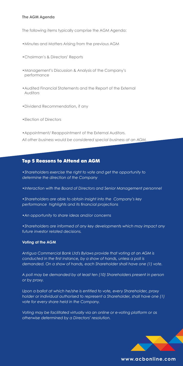## The AGM Agenda

The following items typically comprise the AGM Agenda:

- •Minutes and Matters Arising from the previous AGM
- •Chairman's & Directors' Reports
- •Management's Discussion & Analysis of the Company's performance
- •Audited Financial Statements and the Report of the External **Auditors**
- •Dividend Recommendation, if any
- •Election of Directors

•Appointment/ Reappointment of the External Auditors.

*All other business would be considered special business at an AGM.*

# Top 5 Reasons to Attend an AGM

•*Shareholders exercise the right to vote and get the opportunity to determine the direction of the Company*

•*Interaction with the Board of Directors and Senior Management personnel*

•*Shareholders are able to obtain insight into the Company's key* performance highlights and its financial projections

•*An opportunity to share ideas and/or concerns*

•*Shareholders are informed of any key developments which may impact any future investor related decisions.*

#### Voting at the AGM

*Antigua Commercial Bank Ltd's Bylaws provide that voting at an AGM is conducted in the* first instance, by a show of hands, unless a poll is demanded. On a show of hands, each Shareholder shall have one (1) vote.

A poll may be demanded by at least ten (10) Shareholders present in person *or by proxy.*

Upon a ballot at which he/she is entitled to vote, every Shareholder, proxy holder or individual authorised to represent a Shareholder, shall have one (1) *vote for every share held in the Company.*

*Voting may be facilitated virtually via an online or e-voting platform or as otherwise determined by a Directors' resolution.*



## www.acbonline.com